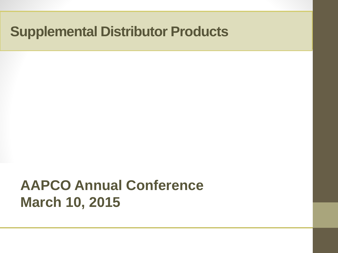## **AAPCO Annual Conference March 10, 2015**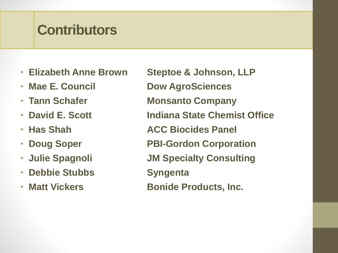### **Contributors**

- 
- 
- 
- 
- 
- 
- 
- **Debbie Stubbs Syngenta**
- 

• **Elizabeth Anne Brown Steptoe & Johnson, LLP**  • Mae E. Council **Dow AgroSciences** • Tann Schafer **Monsanto Company** • **David E. Scott Indiana State Chemist Office** • Has Shah **ACC Biocides Panel** • **Doug Soper PBI-Gordon Corporation** • **Julie Spagnoli JM Specialty Consulting** • **Matt Vickers Bonide Products, Inc.**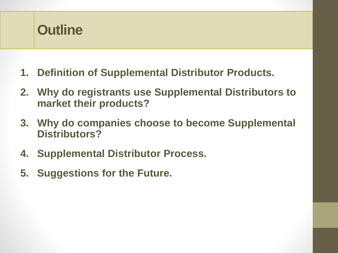

- **1. Definition of Supplemental Distributor Products.**
- **2. Why do registrants use Supplemental Distributors to market their products?**
- **3. Why do companies choose to become Supplemental Distributors?**
- **4. Supplemental Distributor Process.**
- **5. Suggestions for the Future.**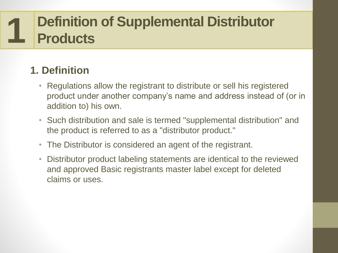#### **Definition of Supplemental Distributor Products 1**

### **1. Definition**

- Regulations allow the registrant to distribute or sell his registered product under another company's name and address instead of (or in addition to) his own.
- Such distribution and sale is termed "supplemental distribution" and the product is referred to as a "distributor product."
- The Distributor is considered an agent of the registrant.
- Distributor product labeling statements are identical to the reviewed and approved Basic registrants master label except for deleted claims or uses.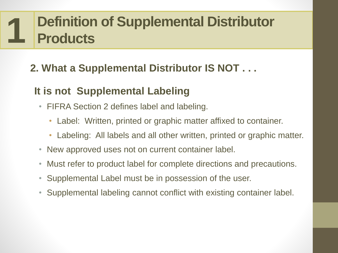#### **Definition of Supplemental Distributor Products 1**

### **2. What a Supplemental Distributor IS NOT . . .**

### **It is not Supplemental Labeling**

- FIFRA Section 2 defines label and labeling.
	- Label: Written, printed or graphic matter affixed to container.
	- Labeling: All labels and all other written, printed or graphic matter.
- New approved uses not on current container label.
- Must refer to product label for complete directions and precautions.
- Supplemental Label must be in possession of the user.
- Supplemental labeling cannot conflict with existing container label.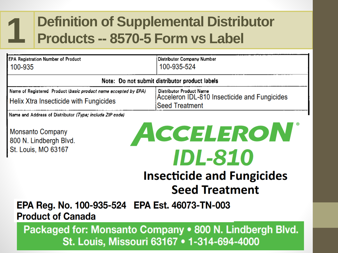### **Definition of Supplemental Distributor Products -- 8570-5 Form vs Label**

| 100-935-524                                                                                              |
|----------------------------------------------------------------------------------------------------------|
| Note: Do not submit distributor product labels                                                           |
| <b>Distributor Product Name</b><br>Acceleron IDL-810 Insecticide and Fungicides<br><b>Seed Treatment</b> |
|                                                                                                          |

**Monsanto Company** 800 N. Lindbergh Blvd. St. Louis, MO 63167

**1**

# ACCELERON **IDL-810 Insecticide and Fungicides Seed Treatment**

EPA Reg. No. 100-935-524 EPA Est. 46073-TN-003 **Product of Canada** 

Packaged for: Monsanto Company • 800 N. Lindbergh Blvd. St. Louis, Missouri 63167 • 1-314-694-4000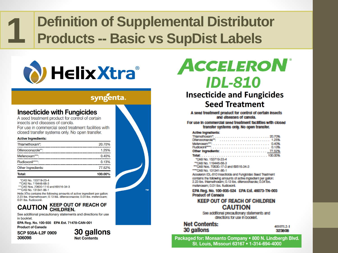### **Definition of Supplemental Distributor Products -- Basic vs SupDist Labels**



#### syngenta.

#### **Insecticide with Fungicides**

A seed treatment product for control of certain insects and diseases of canola.

For use in commercial seed treatment facilities with closed transfer systems only. No open transfer.

#### **Active Ingredients:**

**1**

| Total:             | 100.00% |
|--------------------|---------|
| Other Ingredients: | 77.52%  |
| Fludioxonil****:   | 0.13%   |
| Mefenoxam***:      | 0.40%   |
| Difenoconazole**:  | 1.25%   |
| Thiamethoxam*:     | 20.70%  |

\*CAS No. 153719-23-4 \*\*CAS No. 119446-68-3

\*\*\* CAS Nos. 70630-17-0 and 69516-34-3 \*\*\*\* CAS No. 131341-86-1

Helix XTra contains the following amounts of active ingredient per gallon: 2.23 lbs. thiamethoxam; 0.13 lbs. difenoconazole; 0.04 lbs. mefenoxam; 0.01 lbs. fludioxonil.

#### **KEEP OUT OF REACH OF CAUTION CHILDREN.**

See additional precautionary statements and directions for use in booklet.

EPA Reg. No. 100-935 EPA Est. 71478-CAN-001 **Product of Canada** 

SCP 935A-L2F 0909 306098

30 gallons **Net Contents** 



## ACCELERON® **IDL-810**

#### **Insecticide and Fungicides Seed Treatment**

A seed treatment product for control of certain insects and diseases of canola.

For use in commercial seed treatment facilities with closed transfer systems only. No open transfer.

#### **Active incredients:**

| Difancoonazola <sup>nt</sup> :  1.25% |  |  |  |  |  |  |  |  |  |  |  |
|---------------------------------------|--|--|--|--|--|--|--|--|--|--|--|
|                                       |  |  |  |  |  |  |  |  |  |  |  |
|                                       |  |  |  |  |  |  |  |  |  |  |  |
|                                       |  |  |  |  |  |  |  |  |  |  |  |

100,00% "CAS No. 153719-23-4

"CAS No. 119445-56-3 ""CAS Nos. 70630-17-0 and 69515-34-3 ""CAS No. 131341-85-1

Acceleron IDL-810 Insecticide and Fungicides Seed Treatment contains the following amounts of active ingredient per gallon: 2.23 lbs. thiamathorism; 0.13 lbs. dilancoonazda; 0.04 lbs. malanciam; 0.01 lbs. fludoxonil.

EPA Reg. No. 100-935-524 EPA Est. 46073-TN-003 **Product of Canada** 

#### **KEEP OUT OF REACH OF CHILDREN CAUTION**

See additional precautionary statements and directions for use in booklet.

#### **Net Contents:** 30 gallons

401071.2-1 323808

Packaged for: Monsanto Company • 800 N. Lindbergh Blvd. St. Louis, Missouri 63167 . 1-314-694-4000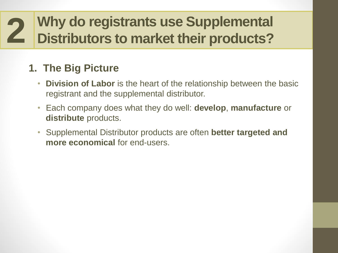### **1. The Big Picture**

- **Division of Labor** is the heart of the relationship between the basic registrant and the supplemental distributor.
- Each company does what they do well: **develop**, **manufacture** or **distribute** products.
- Supplemental Distributor products are often **better targeted and more economical** for end-users.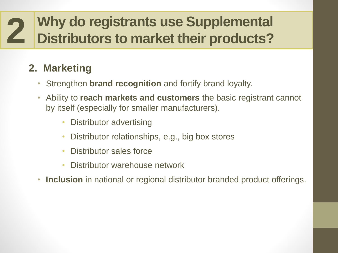### **2. Marketing**

- Strengthen **brand recognition** and fortify brand loyalty.
- Ability to **reach markets and customers** the basic registrant cannot by itself (especially for smaller manufacturers).
	- Distributor advertising
	- Distributor relationships, e.g., big box stores
	- Distributor sales force
	- Distributor warehouse network
- **Inclusion** in national or regional distributor branded product offerings.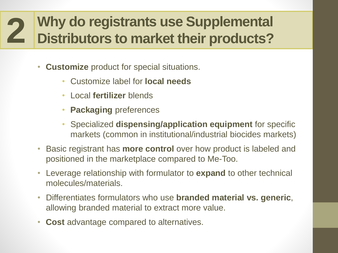- **Customize** product for special situations.
	- Customize label for **local needs**
	- Local **fertilizer** blends
	- **Packaging** preferences
	- Specialized **dispensing/application equipment** for specific markets (common in institutional/industrial biocides markets)
- Basic registrant has **more control** over how product is labeled and positioned in the marketplace compared to Me-Too.
- Leverage relationship with formulator to **expand** to other technical molecules/materials.
- Differentiates formulators who use **branded material vs. generic**, allowing branded material to extract more value.
- **Cost** advantage compared to alternatives.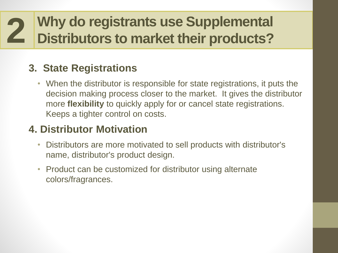#### **3. State Registrations**

• When the distributor is responsible for state registrations, it puts the decision making process closer to the market. It gives the distributor more **flexibility** to quickly apply for or cancel state registrations. Keeps a tighter control on costs.

#### **4. Distributor Motivation**

- Distributors are more motivated to sell products with distributor's name, distributor's product design.
- Product can be customized for distributor using alternate colors/fragrances.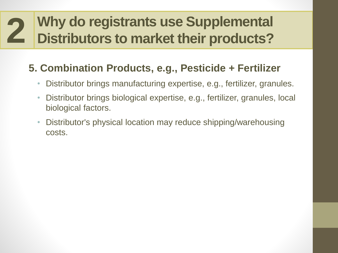### **5. Combination Products, e.g., Pesticide + Fertilizer**

- Distributor brings manufacturing expertise, e.g., fertilizer, granules.
- Distributor brings biological expertise, e.g., fertilizer, granules, local biological factors.
- Distributor's physical location may reduce shipping/warehousing costs.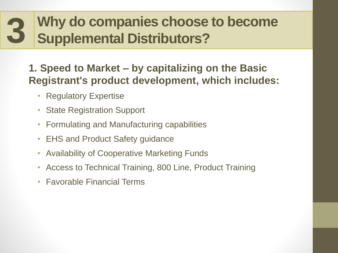#### **Why do companies choose to become Supplemental Distributors? 3**

#### **1. Speed to Market – by capitalizing on the Basic Registrant's product development, which includes:**

- Regulatory Expertise
- State Registration Support
- Formulating and Manufacturing capabilities
- EHS and Product Safety guidance
- Availability of Cooperative Marketing Funds
- Access to Technical Training, 800 Line, Product Training
- Favorable Financial Terms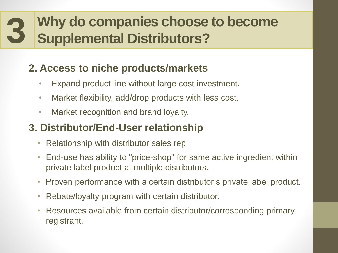#### **Why do companies choose to become Supplemental Distributors? 3**

### **2. Access to niche products/markets**

- Expand product line without large cost investment.
- Market flexibility, add/drop products with less cost.
- Market recognition and brand loyalty.

#### **3. Distributor/End-User relationship**

- Relationship with distributor sales rep.
- End-use has ability to "price-shop" for same active ingredient within private label product at multiple distributors.
- Proven performance with a certain distributor's private label product.
- Rebate/loyalty program with certain distributor.
- Resources available from certain distributor/corresponding primary registrant.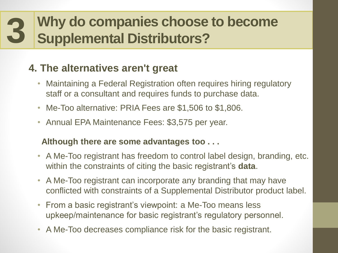#### **Why do companies choose to become Supplemental Distributors? 3**

### **4. The alternatives aren't great**

- Maintaining a Federal Registration often requires hiring regulatory staff or a consultant and requires funds to purchase data.
- Me-Too alternative: PRIA Fees are \$1,506 to \$1,806.
- Annual EPA Maintenance Fees: \$3,575 per year.

#### **Although there are some advantages too . . .**

- A Me-Too registrant has freedom to control label design, branding, etc. within the constraints of citing the basic registrant's **data**.
- A Me-Too registrant can incorporate any branding that may have conflicted with constraints of a Supplemental Distributor product label.
- From a basic registrant's viewpoint: a Me-Too means less upkeep/maintenance for basic registrant's regulatory personnel.
- A Me-Too decreases compliance risk for the basic registrant.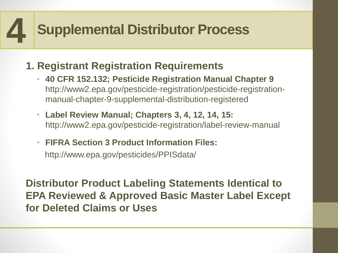### **1. Registrant Registration Requirements**

- **40 CFR 152.132; Pesticide Registration Manual Chapter 9**  http://www2.epa.gov/pesticide-registration/pesticide-registrationmanual-chapter-9-supplemental-distribution-registered
- **Label Review Manual; Chapters 3, 4, 12, 14, 15:**  http://www2.epa.gov/pesticide-registration/label-review-manual
- **FIFRA Section 3 Product Information Files:** http://www.epa.gov/pesticides/PPISdata/

**Distributor Product Labeling Statements Identical to EPA Reviewed & Approved Basic Master Label Except for Deleted Claims or Uses**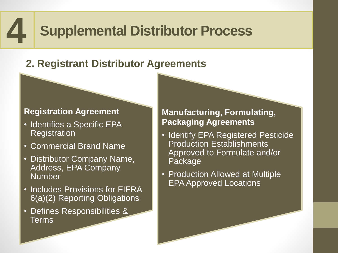### **2. Registrant Distributor Agreements**

#### **Registration Agreement**

- Identifies a Specific EPA **Registration**
- Commercial Brand Name
- Distributor Company Name, Address, EPA Company Number
- Includes Provisions for FIFRA 6(a)(2) Reporting Obligations
- Defines Responsibilities & **Terms**

#### **Manufacturing, Formulating, Packaging Agreements**

- Identify EPA Registered Pesticide Production Establishments Approved to Formulate and/or Package
- Production Allowed at Multiple EPA Approved Locations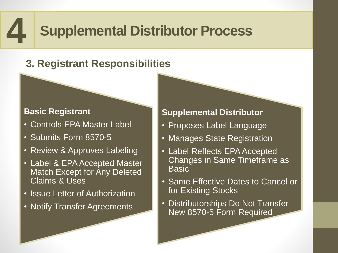### **3. Registrant Responsibilities**

#### **Basic Registrant**

- Controls EPA Master Label
- Submits Form 8570-5
- Review & Approves Labeling
- Label & EPA Accepted Master Match Except for Any Deleted Claims & Uses
- Issue Letter of Authorization
- Notify Transfer Agreements

#### **Supplemental Distributor**

- Proposes Label Language
- Manages State Registration
- Label Reflects EPA Accepted Changes in Same Timeframe as **Basic**
- Same Effective Dates to Cancel or for Existing Stocks
- Distributorships Do Not Transfer New 8570-5 Form Required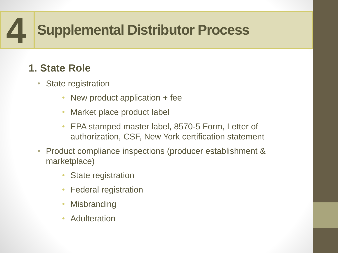### **1. State Role**

- State registration
	- New product application + fee
	- Market place product label
	- EPA stamped master label, 8570-5 Form, Letter of authorization, CSF, New York certification statement
- Product compliance inspections (producer establishment & marketplace)
	- **State registration**
	- Federal registration
	- **Misbranding**
	- Adulteration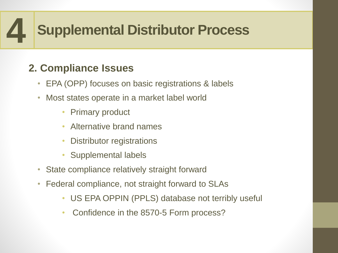### **2. Compliance Issues**

- EPA (OPP) focuses on basic registrations & labels
- Most states operate in a market label world
	- Primary product
	- Alternative brand names
	- Distributor registrations
	- Supplemental labels
- State compliance relatively straight forward
- Federal compliance, not straight forward to SLAs
	- US EPA OPPIN (PPLS) database not terribly useful
	- Confidence in the 8570-5 Form process?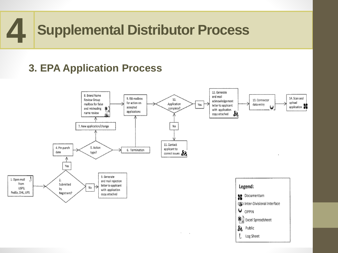#### **3. EPA Application Process**

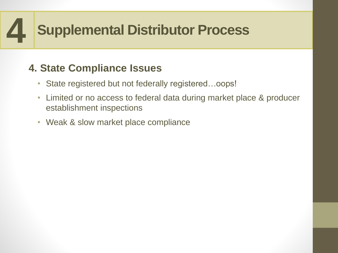### **4. State Compliance Issues**

- State registered but not federally registered...oops!
- Limited or no access to federal data during market place & producer establishment inspections
- Weak & slow market place compliance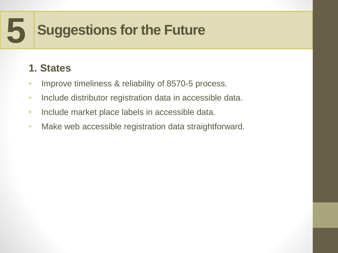### **1. States**

- Improve timeliness & reliability of 8570-5 process.
- Include distributor registration data in accessible data.
- Include market place labels in accessible data.
- Make web accessible registration data straightforward.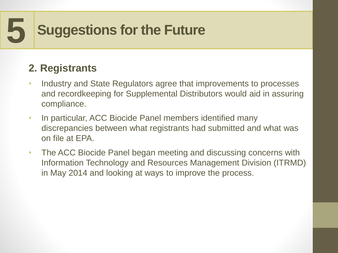### **2. Registrants**

- Industry and State Regulators agree that improvements to processes and recordkeeping for Supplemental Distributors would aid in assuring compliance.
- In particular, ACC Biocide Panel members identified many discrepancies between what registrants had submitted and what was on file at EPA.
- The ACC Biocide Panel began meeting and discussing concerns with Information Technology and Resources Management Division (ITRMD) in May 2014 and looking at ways to improve the process.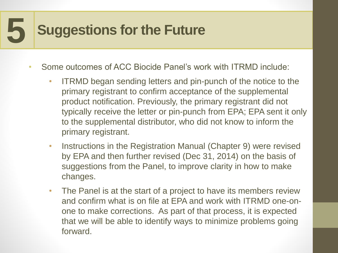- Some outcomes of ACC Biocide Panel's work with ITRMD include:
	- ITRMD began sending letters and pin-punch of the notice to the primary registrant to confirm acceptance of the supplemental product notification. Previously, the primary registrant did not typically receive the letter or pin-punch from EPA; EPA sent it only to the supplemental distributor, who did not know to inform the primary registrant.
	- Instructions in the Registration Manual (Chapter 9) were revised by EPA and then further revised (Dec 31, 2014) on the basis of suggestions from the Panel, to improve clarity in how to make changes.
	- The Panel is at the start of a project to have its members review and confirm what is on file at EPA and work with ITRMD one-onone to make corrections. As part of that process, it is expected that we will be able to identify ways to minimize problems going forward.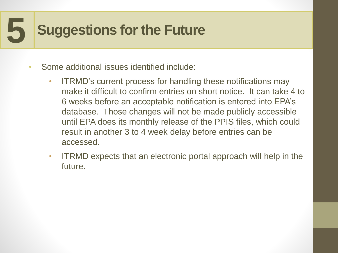- Some additional issues identified include:
	- ITRMD's current process for handling these notifications may make it difficult to confirm entries on short notice. It can take 4 to 6 weeks before an acceptable notification is entered into EPA's database. Those changes will not be made publicly accessible until EPA does its monthly release of the PPIS files, which could result in another 3 to 4 week delay before entries can be accessed.
	- ITRMD expects that an electronic portal approach will help in the future.